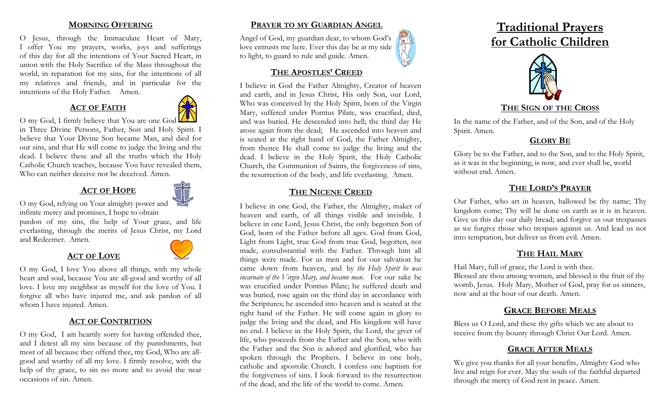#### **MORNING OFFERING**

O Jesus, through the Immaculate Heart of Mary, I offer You my prayers, works, joys and sufferings of this day for all the intentions of Your Sacred Heart, in union with the Holy Sacrifice of the Mass throughout the world, in reparation for my sins, for the intentions of all my relatives and friends, and in particular for the intentions of the Holy Father. Amen.

### **ACT OF FAITH**



O my God, I firmly believe that You are one God in Three Divine Persons, Father, Son and Holy Spirit. I believe that Your Divine Son became Man, and died for our sins, and that He will come to judge the living and the dead. I believe these and all the truths which the Holy Catholic Church teaches, because You have revealed them, Who can neither deceive nor be deceived. Amen.

# **ACT OF HOPE**



O my God, relying on Your almighty power and infinite mercy and promises, I hope to obtain

pardon of my sins, the help of Your grace, and life everlasting, through the merits of Jesus Christ, my Lord and Redeemer. Amen.

### **ACT OF LOVE**



O my God, I love You above all things, with my whole heart and soul, because You are all-good and worthy of all love. I love my neighbor as myself for the love of You. I forgive all who have injured me, and ask pardon of all whom I have injured. Amen.

### **ACT OF CONTRITION**

O my God, I am heartily sorry for having offended thee, and I detest all my sins because of thy punishments, but most of all because they offend thee, my God, Who are allgood and worthy of all my love. I firmly resolve, with the help of thy grace, to sin no more and to avoid the near occasions of sin. Amen.

### **PRAYER TO MY GUARDIAN ANGEL**

Angel of God, my guardian dear, to whom God's love entrusts me here. Ever this day be at my side to light, to guard to rule and guide. Amen.



#### **THE APOSTLES' CREED**

I believe in God the Father Almighty, Creator of heaven and earth, and in Jesus Christ, His only Son, our Lord, Who was conceived by the Holy Spirit, born of the Virgin Mary, suffered under Pontius Pilate, was crucified, died, and was buried. He descended into hell; the third day He arose again from the dead; He ascended into heaven and is seated at the right hand of God, the Father Almighty, from thence He shall come to judge the living and the dead. I believe in the Holy Spirit, the Holy Catholic Church, the Communion of Saints, the forgiveness of sins, the resurrection of the body, and life everlasting. Amen.

### **THE NICENE CREED**

I believe in one God, the Father, the Almighty, maker of heaven and earth, of all things visible and invisible. I believe in one Lord, Jesus Christ, the only begotten Son of God, born of the Father before all ages. God from God, Light from Light, true God from true God, begotten, not made, consubstantial with the Father. Through him all things were made. For us men and for our salvation he came down from heaven, and by *the Holy Spirit he was incarnate of the Virgin Mary, and became man*. For our sake he was crucified under Pontius Pilate; he suffered death and was buried, rose again on the third day in accordance with the Scriptures; he ascended into heaven and is seated at the right hand of the Father. He will come again in glory to judge the living and the dead, and His kingdom will have no end. I believe in the Holy Spirit, the Lord, the giver of life, who proceeds from the Father and the Son, who with the Father and the Son is adored and glorified, who has spoken through the Prophets. I believe in one holy, catholic and apostolic Church. I confess one baptism for the forgiveness of sins. I look forward to the resurrection of the dead, and the life of the world to come. Amen.





#### **THE SIGN OF THE CROSS**

In the name of the Father, and of the Son, and of the Holy Spirit. Amen.

## **GLORY BE**

Glory be to the Father, and to the Son, and to the Holy Spirit, as it was in the beginning, is now, and ever shall be, world without end. Amen.

### **THE LORD'S PRAYER**

Our Father, who art in heaven, hallowed be thy name; Thy kingdom come; Thy will be done on earth as it is in heaven. Give us this day our daily bread; and forgive us our trespasses as we forgive those who trespass against us. And lead us not into temptation, but deliver us from evil. Amen.

# **THE HAIL MARY**

Hail Mary, full of grace, the Lord is with thee.

Blessed are thou among women, and blessed is the fruit of thy womb, Jesus. Holy Mary, Mother of God, pray for us sinners, now and at the hour of our death. Amen.

## **GRACE BEFORE MEALS**

Bless us O Lord, and these thy gifts which we are about to receive from thy bounty through Christ Our Lord. Amen.

#### **GRACE AFTER MEALS**

We give you thanks for all your benefits, Almighty God who live and reign for ever. May the souls of the faithful departed through the mercy of God rest in peace. Amen.